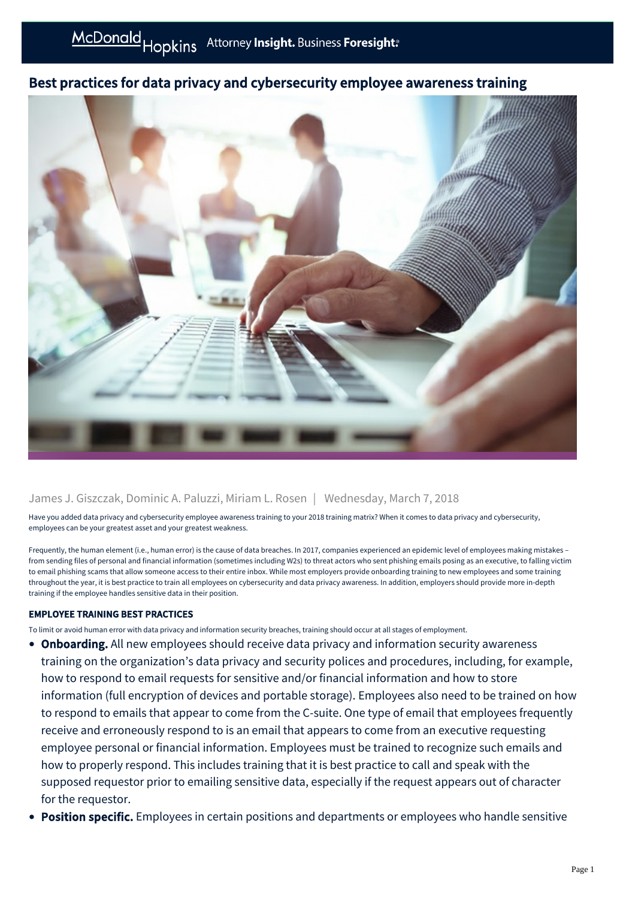## Best practices for data privacy and cybersecurity employee awareness training



## James J. Giszczak, Dominic A. Paluzzi, Miriam L. Rosen | Wednesday, March 7, 2018

Have you added data privacy and cybersecurity employee awareness training to your 2018 training matrix? When it comes to data privacy and cybersecurity, employees can be your greatest asset and your greatest weakness.

Frequently, the human element (i.e., human error) is the cause of data breaches. In 2017, companies experienced an epidemic level of employees making mistakes – from sending files of personal and financial information (sometimes including W2s) to threat actors who sent phishing emails posing as an executive, to falling victim to email phishing scams that allow someone access to their entire inbox. While most employers provide onboarding training to new employees and some training throughout the year, it is best practice to train all employees on cybersecurity and data privacy awareness. In addition, employers should provide more in-depth training if the employee handles sensitive data in their position.

## EMPLOYEE TRAINING BEST PRACTICES

To limit or avoid human error with data privacy and information security breaches, training should occur at all stages of employment.

- Onboarding. All new employees should receive data privacy and information security awareness training on the organization's data privacy and security polices and procedures, including, for example, how to respond to email requests for sensitive and/or financial information and how to store information (full encryption of devices and portable storage). Employees also need to be trained on how to respond to emails that appear to come from the C-suite. One type of email that employees frequently receive and erroneously respond to is an email that appears to come from an executive requesting employee personal or financial information. Employees must be trained to recognize such emails and how to properly respond. This includes training that it is best practice to call and speak with the supposed requestor prior to emailing sensitive data, especially if the request appears out of character for the requestor.
- **Position specific.** Employees in certain positions and departments or employees who handle sensitive